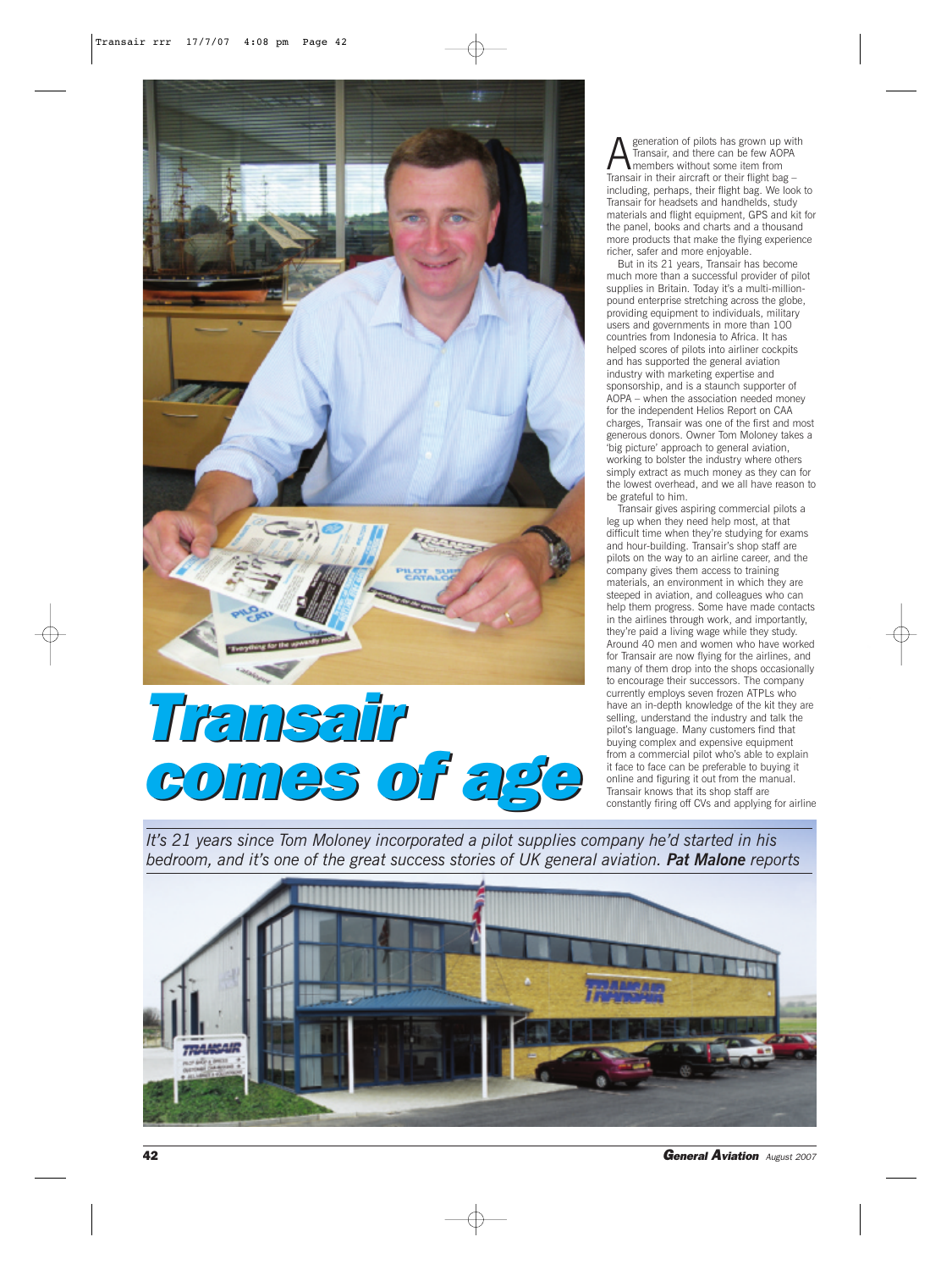

*Transair Transair comes of age comes of age*

**A** Fransair, and there can be few AOPA<br>Transair, and there can be few AOPA<br>Transair in their girent or their flight has Transair, and there can be few AOPA members without some item from Transair in their aircraft or their flight bag including, perhaps, their flight bag. We look to Transair for headsets and handhelds, study materials and flight equipment, GPS and kit for the panel, books and charts and a thousand more products that make the flying experience richer, safer and more enjoyable.

But in its 21 years, Transair has become much more than a successful provider of pilot supplies in Britain. Today it's a multi-millionpound enterprise stretching across the globe, providing equipment to individuals, military users and governments in more than 100 countries from Indonesia to Africa. It has helped scores of pilots into airliner cockpits and has supported the general aviation industry with marketing expertise and sponsorship, and is a staunch supporter of AOPA – when the association needed money for the independent Helios Report on CAA charges, Transair was one of the first and most generous donors. Owner Tom Moloney takes a 'big picture' approach to general aviation, working to bolster the industry where others simply extract as much money as they can for the lowest overhead, and we all have reason to be grateful to him.

Transair gives aspiring commercial pilots a leg up when they need help most, at that difficult time when they're studying for exams and hour-building. Transair's shop staff are pilots on the way to an airline career, and the company gives them access to training materials, an environment in which they are steeped in aviation, and colleagues who can help them progress. Some have made contacts in the airlines through work, and importantly, they're paid a living wage while they study. Around 40 men and women who have worked for Transair are now flying for the airlines, and many of them drop into the shops occasionally to encourage their successors. The company currently employs seven frozen ATPLs who have an in-depth knowledge of the kit they are selling, understand the industry and talk the pilot's language. Many customers find that buying complex and expensive equipment from a commercial pilot who's able to explain it face to face can be preferable to buying it online and figuring it out from the manual. Transair knows that its shop staff are constantly firing off CVs and applying for airline

*It's 21 years since Tom Moloney incorporated a pilot supplies company he'd started in his bedroom, and it's one of the great success stories of UK general aviation. Pat Malone reports*



42 *General Aviation August 2007*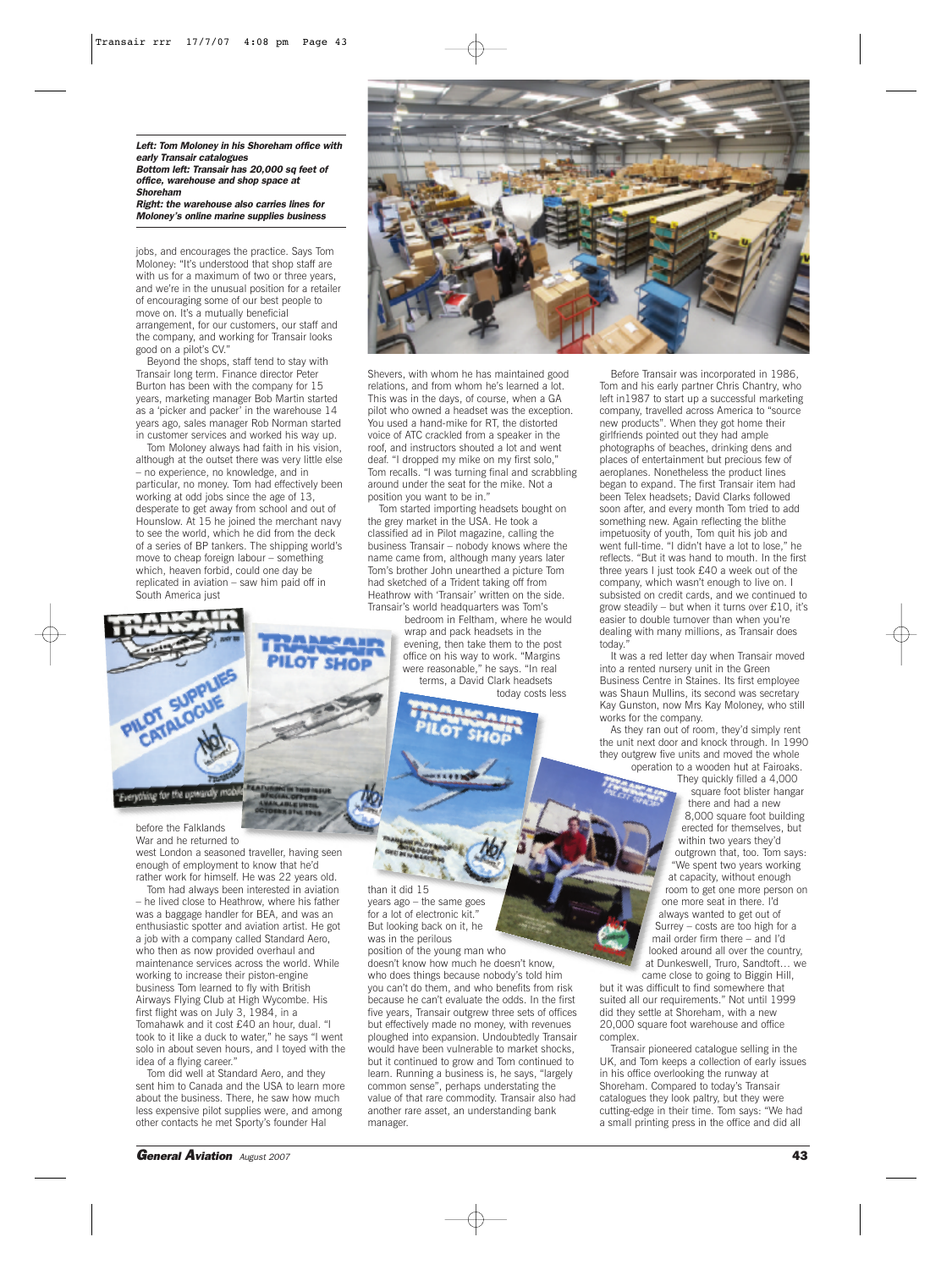*Left: Tom Moloney in his Shoreham office with early Transair catalogues Bottom left: Transair has 20,000 sq feet of office, warehouse and shop space at Shoreham*

*Right: the warehouse also carries lines for Moloney's online marine supplies business*

jobs, and encourages the practice. Says Tom Moloney: "It's understood that shop staff are with us for a maximum of two or three years. and we're in the unusual position for a retailer of encouraging some of our best people to move on. It's a mutually beneficial arrangement, for our customers, our staff and the company, and working for Transair looks good on a pilot's CV."

Beyond the shops, staff tend to stay with Transair long term. Finance director Peter Burton has been with the company for 15 years, marketing manager Bob Martin started as a 'picker and packer' in the warehouse 14 years ago, sales manager Rob Norman started in customer services and worked his way up.

Tom Moloney always had faith in his vision, although at the outset there was very little else – no experience, no knowledge, and in particular, no money. Tom had effectively been working at odd jobs since the age of 13, desperate to get away from school and out of Hounslow. At 15 he joined the merchant navy to see the world, which he did from the deck of a series of BP tankers. The shipping world's move to cheap foreign labour – something which, heaven forbid, could one day be replicated in aviation – saw him paid off in South America just



Shevers, with whom he has maintained good relations, and from whom he's learned a lot. This was in the days, of course, when a GA pilot who owned a headset was the exception. You used a hand-mike for RT, the distorted voice of ATC crackled from a speaker in the roof, and instructors shouted a lot and went deaf. "I dropped my mike on my first solo," Tom recalls. "I was turning final and scrabbling around under the seat for the mike. Not a position you want to be in."

Tom started importing headsets bought on the grey market in the USA. He took a classified ad in Pilot magazine, calling the business Transair – nobody knows where the name came from, although many years later Tom's brother John unearthed a picture Tom had sketched of a Trident taking off from Heathrow with 'Transair' written on the side. Transair's world headquarters was Tom's

bedroom in Feltham, where he would wrap and pack headsets in the evening, then take them to the post

office on his way to work. "Margins were reasonable," he says. "In real terms, a David Clark headsets

today costs less

than it did 15

manager.

years ago – the same goes for a lot of electronic kit." But looking back on it, he was in the perilous

position of the young man who

doesn't know how much he doesn't know, who does things because nobody's told him you can't do them, and who benefits from risk because he can't evaluate the odds. In the first five years, Transair outgrew three sets of offices but effectively made no money, with revenues ploughed into expansion. Undoubtedly Transair would have been vulnerable to market shocks, but it continued to grow and Tom continued to learn. Running a business is, he says, "largely common sense", perhaps understating the value of that rare commodity. Transair also had another rare asset, an understanding bank

Tom and his early partner Chris Chantry, who left in1987 to start up a successful marketing company, travelled across America to "source new products". When they got home their girlfriends pointed out they had ample photographs of beaches, drinking dens and places of entertainment but precious few of aeroplanes. Nonetheless the product lines began to expand. The first Transair item had been Telex headsets; David Clarks followed soon after, and every month Tom tried to add something new. Again reflecting the blithe impetuosity of youth, Tom quit his job and went full-time. "I didn't have a lot to lose," he reflects. "But it was hand to mouth. In the first three years I just took £40 a week out of the company, which wasn't enough to live on. I subsisted on credit cards, and we continued to grow steadily – but when it turns over £10, it's easier to double turnover than when you're dealing with many millions, as Transair does today.

It was a red letter day when Transair moved into a rented nursery unit in the Green Business Centre in Staines. Its first employee was Shaun Mullins, its second was secretary Kay Gunston, now Mrs Kay Moloney, who still works for the company.

As they ran out of room, they'd simply rent the unit next door and knock through. In 1990 they outgrew five units and moved the whole operation to a wooden hut at Fairoaks.

> They quickly filled a 4,000 square foot blister hangar there and had a new 8,000 square foot building erected for themselves, but within two years they'd outgrown that, too. Tom says: "We spent two years working at capacity, without enough room to get one more person on one more seat in there. I'd always wanted to get out of Surrey – costs are too high for a mail order firm there – and I'd looked around all over the country, at Dunkeswell, Truro, Sandtoft… we came close to going to Biggin Hill,

but it was difficult to find somewhere that suited all our requirements." Not until 1999 did they settle at Shoreham, with a new 20,000 square foot warehouse and office complex.

Transair pioneered catalogue selling in the UK, and Tom keeps a collection of early issues in his office overlooking the runway at Shoreham. Compared to today's Transair catalogues they look paltry, but they were cutting-edge in their time. Tom says: "We had a small printing press in the office and did all

before the Falklands War and he returned to west London a seasoned traveller, having seen enough of employment to know that he'd rather work for himself. He was 22 years old.

SUPPLIE **UPTUE** 

erything for the up

Tom had always been interested in aviation – he lived close to Heathrow, where his father was a baggage handler for BEA, and was an enthusiastic spotter and aviation artist. He got a job with a company called Standard Aero, who then as now provided overhaul and maintenance services across the world. While working to increase their piston-engine business Tom learned to fly with British Airways Flying Club at High Wycombe. His first flight was on July 3, 1984, in a Tomahawk and it cost £40 an hour, dual. "I took to it like a duck to water," he says "I went solo in about seven hours, and I toyed with the idea of a flying career."

Tom did well at Standard Aero, and they sent him to Canada and the USA to learn more about the business. There, he saw how much less expensive pilot supplies were, and among other contacts he met Sporty's founder Hal